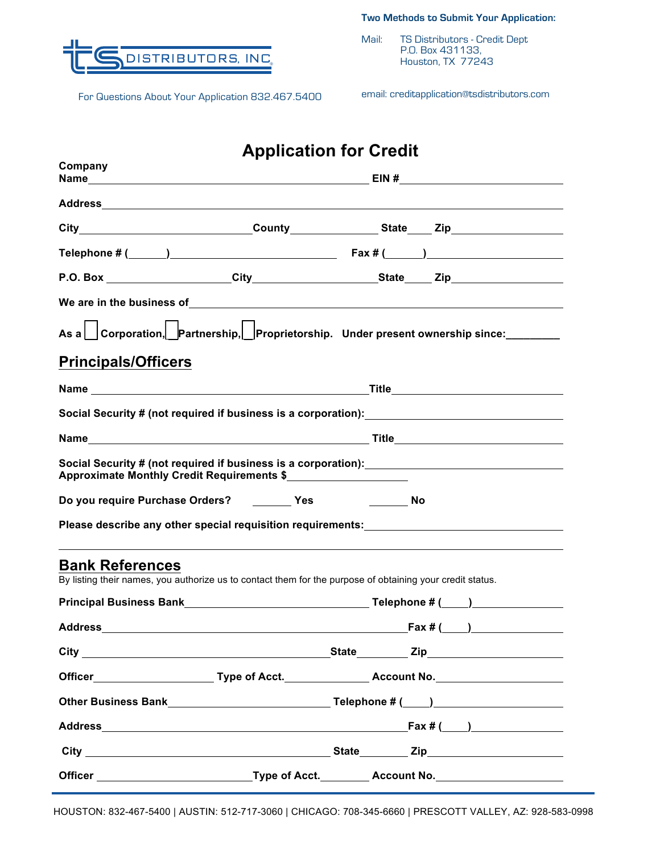**Two Methods to Submit Your Application:**



For Questions About Your Application 832.467.5400 email: creditapplication@tsdistributors.com

Mail: TS Distributors - Credit Dept P.O. Box 431133, Houston, TX 77243

| <b>Application for Credit</b>                                                                                                       |  |  |                                                                                                                                                                                                                                      |  |
|-------------------------------------------------------------------------------------------------------------------------------------|--|--|--------------------------------------------------------------------------------------------------------------------------------------------------------------------------------------------------------------------------------------|--|
| Company                                                                                                                             |  |  |                                                                                                                                                                                                                                      |  |
|                                                                                                                                     |  |  |                                                                                                                                                                                                                                      |  |
|                                                                                                                                     |  |  | City_________________________________County___________________State____Zip_________________________                                                                                                                                  |  |
|                                                                                                                                     |  |  | Telephone # $($ \compared \compared \compared \compared \compared \compared \compared \compared \compared \compared \compared \compared \compared \compared \compared \compared \compared \compared \compared \compared \comp        |  |
|                                                                                                                                     |  |  |                                                                                                                                                                                                                                      |  |
|                                                                                                                                     |  |  | We are in the business of <b>with a set of the control of the set of the set of the set of the set of the set of the set of the set of the set of the set of the set of the set of the set of the set of the set of the set of t</b> |  |
|                                                                                                                                     |  |  | As a Corporation, Partnership, Proprietorship. Under present ownership since: _______                                                                                                                                                |  |
| <b>Principals/Officers</b>                                                                                                          |  |  |                                                                                                                                                                                                                                      |  |
|                                                                                                                                     |  |  |                                                                                                                                                                                                                                      |  |
|                                                                                                                                     |  |  |                                                                                                                                                                                                                                      |  |
|                                                                                                                                     |  |  |                                                                                                                                                                                                                                      |  |
| Approximate Monthly Credit Requirements \$                                                                                          |  |  |                                                                                                                                                                                                                                      |  |
| Do you require Purchase Orders? ________ Yes _____________ No                                                                       |  |  |                                                                                                                                                                                                                                      |  |
| Please describe any other special requisition requirements:_____________________                                                    |  |  |                                                                                                                                                                                                                                      |  |
| <b>Bank References</b><br>By listing their names, you authorize us to contact them for the purpose of obtaining your credit status. |  |  |                                                                                                                                                                                                                                      |  |
|                                                                                                                                     |  |  |                                                                                                                                                                                                                                      |  |
|                                                                                                                                     |  |  |                                                                                                                                                                                                                                      |  |
|                                                                                                                                     |  |  |                                                                                                                                                                                                                                      |  |
|                                                                                                                                     |  |  |                                                                                                                                                                                                                                      |  |
|                                                                                                                                     |  |  |                                                                                                                                                                                                                                      |  |
|                                                                                                                                     |  |  |                                                                                                                                                                                                                                      |  |
|                                                                                                                                     |  |  |                                                                                                                                                                                                                                      |  |
|                                                                                                                                     |  |  |                                                                                                                                                                                                                                      |  |

HOUSTON: 832-467-5400 | AUSTIN: 512-717-3060 | CHICAGO: 708-345-6660 | PRESCOTT VALLEY, AZ: 928-583-0998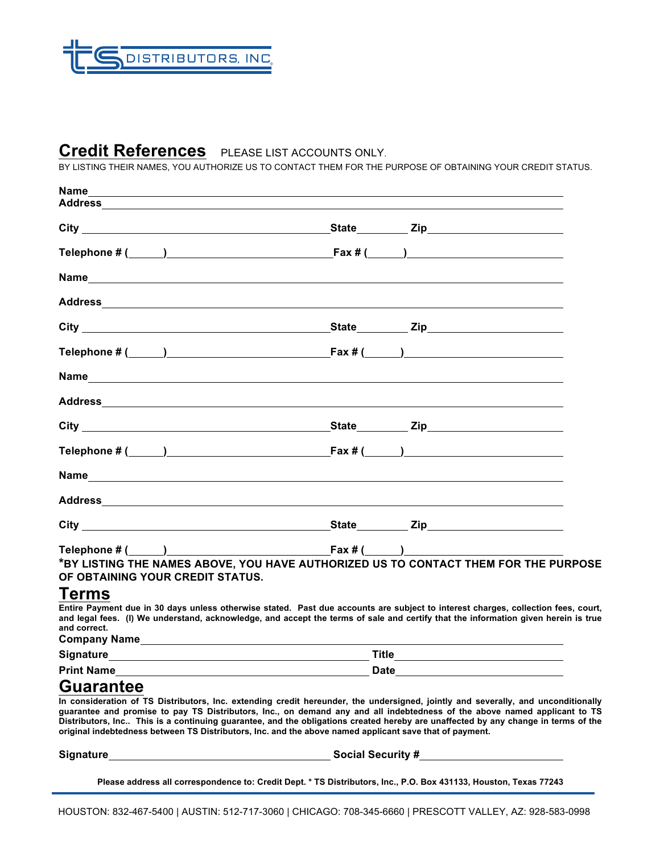

## **Credit References** PLEASE LIST ACCOUNTS ONLY.

BY LISTING THEIR NAMES, YOU AUTHORIZE US TO CONTACT THEM FOR THE PURPOSE OF OBTAINING YOUR CREDIT STATUS.

| Name                             |                                                                                                                                                                                                                                                                                                         |  |  |
|----------------------------------|---------------------------------------------------------------------------------------------------------------------------------------------------------------------------------------------------------------------------------------------------------------------------------------------------------|--|--|
|                                  |                                                                                                                                                                                                                                                                                                         |  |  |
|                                  |                                                                                                                                                                                                                                                                                                         |  |  |
|                                  | Telephone # $($ \compared \compared \compared \compared \compared \compared \compared \compared \compared \compared \compared \compared \compared \compared \compared \compared \compared \compared \compared \compared \comp                                                                           |  |  |
|                                  |                                                                                                                                                                                                                                                                                                         |  |  |
|                                  |                                                                                                                                                                                                                                                                                                         |  |  |
|                                  |                                                                                                                                                                                                                                                                                                         |  |  |
|                                  | Telephone # $($ $)$ $\frac{1}{2}$ $\frac{1}{2}$ $\frac{1}{2}$ $\frac{1}{2}$ $\frac{1}{2}$ $\frac{1}{2}$ $\frac{1}{2}$ $\frac{1}{2}$ $\frac{1}{2}$ $\frac{1}{2}$ $\frac{1}{2}$ $\frac{1}{2}$ $\frac{1}{2}$ $\frac{1}{2}$ $\frac{1}{2}$ $\frac{1}{2}$ $\frac{1}{2}$ $\frac{1}{2}$ $\frac{1}{2}$ $\frac{1$ |  |  |
|                                  |                                                                                                                                                                                                                                                                                                         |  |  |
|                                  | Address and the contract of the contract of the contract of the contract of the contract of the contract of the contract of the contract of the contract of the contract of the contract of the contract of the contract of th                                                                          |  |  |
|                                  |                                                                                                                                                                                                                                                                                                         |  |  |
|                                  | Telephone # $($ \[ \[ \]                                                                                                                                                                                                                                                                                |  |  |
|                                  |                                                                                                                                                                                                                                                                                                         |  |  |
|                                  |                                                                                                                                                                                                                                                                                                         |  |  |
|                                  |                                                                                                                                                                                                                                                                                                         |  |  |
|                                  |                                                                                                                                                                                                                                                                                                         |  |  |
| OF OBTAINING YOUR CREDIT STATUS. | *BY LISTING THE NAMES ABOVE, YOU HAVE AUTHORIZED US TO CONTACT THEM FOR THE PURPOSE                                                                                                                                                                                                                     |  |  |
| Terms<br>and correct.            | Entire Payment due in 30 days unless otherwise stated. Past due accounts are subject to interest charges, collection fees, court,<br>and legal fees. (I) We understand, acknowledge, and accept the terms of sale and certify that the information given herein is true                                 |  |  |
| <b>Signature</b>                 | <b>Title</b>                                                                                                                                                                                                                                                                                            |  |  |

**Print Name Date** 

## **Guarantee**

**In consideration of TS Distributors, Inc. extending credit hereunder, the undersigned, jointly and severally, and unconditionally guarantee and promise to pay TS Distributors, Inc., on demand any and all indebtedness of the above named applicant to TS Distributors, Inc.. This is a continuing guarantee, and the obligations created hereby are unaffected by any change in terms of the original indebtedness between TS Distributors, Inc. and the above named applicant save that of payment.**

**Signature Social Security #**

**Please address all correspondence to: Credit Dept. \* TS Distributors, Inc., P.O. Box 431133, Houston, Texas 77243**